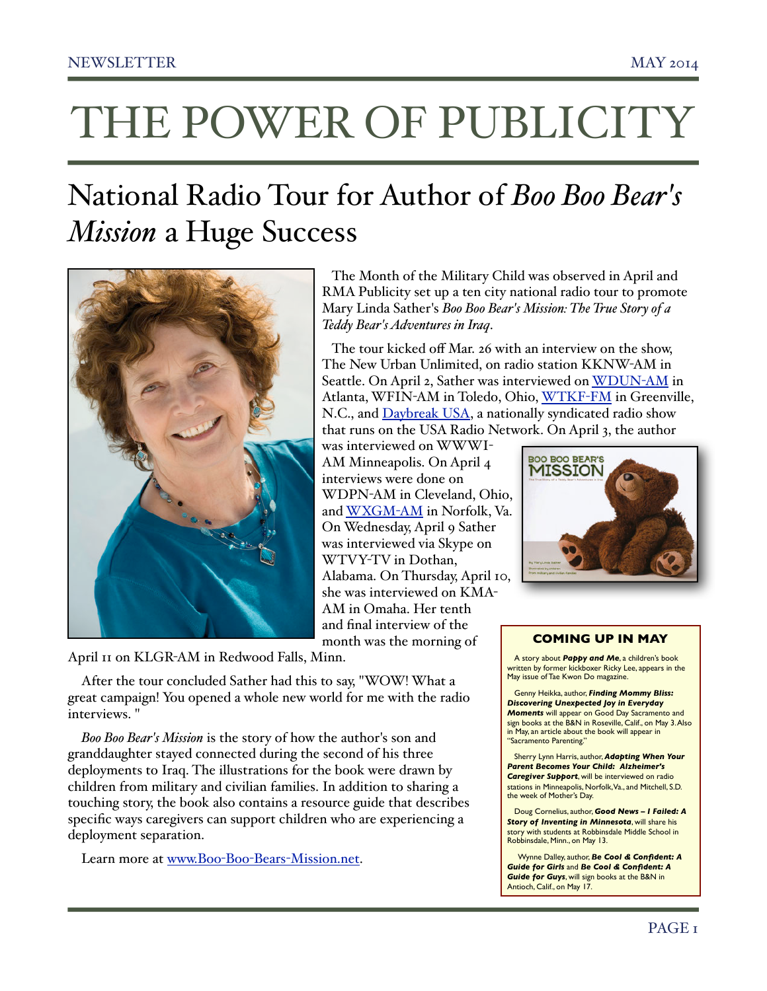# THE POWER OF PUBLICITY

# National Radio Tour for Author of *Boo Boo Bear's Mission* a Huge Success



April 11 on KLGR-AM in Redwood Falls, Minn.

After the tour concluded Sather had this to say, "WOW! What a great campaign! You opened a whole new world for me with the radio interviews. "

*Boo Boo Bear's Mission* is the story of how the author's son and granddaughter stayed connected during the second of his three deployments to Iraq. The illustrations for the book were drawn by children from military and civilian families. In addition to sharing a touching story, the book also contains a resource guide that describes specific ways caregivers can support children who are experiencing a deployment separation.

Learn more at www.Boo-Boo-Bears-[Mission.net.](http://www.Boo-Boo-Bears-Mission.net)

 The Month of the Military Child was observed in April and RMA Publicity set up a ten city national radio tour to promote Mary Linda Sather's *Boo Boo Bear's Mission: The True Story of a Teddy Bear's Adventures in Iraq*.

 The tour kicked off Mar. 26 with an interview on the show, The New Urban Unlimited, on radio station KKNW-AM in Seattle. On April 2, Sather was interviewed on [WDUN](http://www.rmapublicity.com/images/stories/Audio/Boo%20Boo%20Bear)-AM in Atlanta, WFIN-AM in Toledo, Ohio, [WTKF](http://www.rmapublicity.com/images/stories/Audio/Boo%20Boo%20Bear)-FM in Greenville, N.C., and [Daybreak USA,](http://www.rmapublicity.com/images/stories/Audio/Boo%20Boo%20Bear) a nationally syndicated radio show that runs on the USA Radio Network. On April 3, the author

was interviewed on WWWI-AM Minneapolis. On April 4 interviews were done on WDPN-AM in Cleveland, Ohio, and [WXGM](http://www.rmapublicity.com/images/stories/Audio/Boo%20Boo%20Bear)-AM in Norfolk, Va. On Wednesday, April 9 Sather was interviewed via Skype on WTVY-TV in Dothan, Alabama. On Thursday, April 10, she was interviewed on KMA-AM in Omaha. Her tenth and final interview of the month was the morning of



# **COMING UP IN MAY**

A story about *Pappy and Me*, a children's book written by former kickboxer Ricky Lee, appears in the May issue of Tae Kwon Do magazine.

Genny Heikka, author, *Finding Mommy Bliss: Discovering Unexpected Joy in Everyday Moments* will appear on Good Day Sacramento and sign books at the B&N in Roseville, Calif., on May 3. Also in May, an article about the book will appear in "Sacramento Parenting."

Sherry Lynn Harris, author, *Adapting When Your Parent Becomes Your Child: Alzheimer's Caregiver Support*, will be interviewed on radio stations in Minneapolis, Norfolk, Va., and Mitchell, S.D. the week of Mother's Day.

Doug Cornelius, author, *Good News – I Failed: A Story of Inventing in Minnesota*, will share his story with students at Robbinsdale Middle School in Robbinsdale, Minn., on May 13.

 Wynne Dalley, author, *Be Cool & Confident: A Guide for Girls* and *Be Cool & Confident: A Guide for Guys*, will sign books at the B&N in Antioch, Calif., on May 17.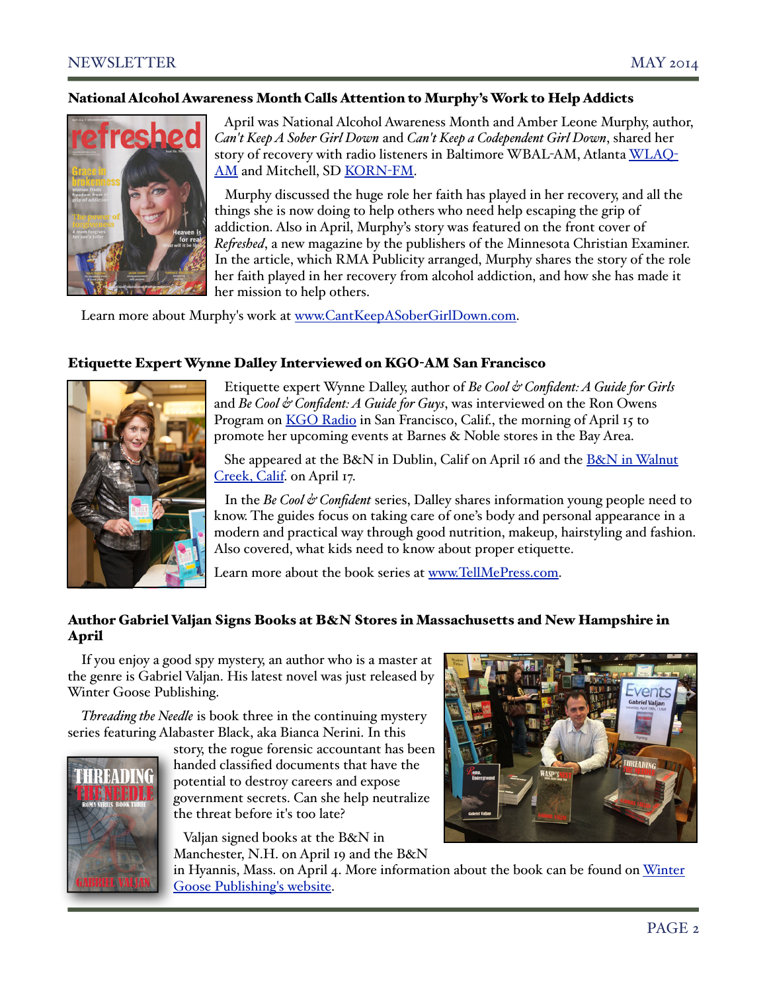# National Alcohol Awareness Month Calls Attention to Murphy's Work to Help Addicts



 April was National Alcohol Awareness Month and Amber Leone Murphy, author, *Can't Keep A Sober Girl Down* and *Can't Keep a Codependent Girl Down*, shared her story of recovery with radio listeners in Baltimore WBAL-AM, Atlanta [WLAQ](http://www.rmapublicity.com/images/stories/Audio/You%20Can)-[AM](http://www.rmapublicity.com/images/stories/Audio/You%20Can) and Mitchell, SD [KORN](http://www.rmapublicity.com/images/stories/Audio/You%20Can)-FM.

 Murphy discussed the huge role her faith has played in her recovery, and all the things she is now doing to help others who need help escaping the grip of addiction. Also in April, Murphy's story was featured on the front cover of *Re!eshed*, a new magazine by the publishers of the Minnesota Christian Examiner. In the article, which RMA Publicity arranged, Murphy shares the story of the role her faith played in her recovery from alcohol addiction, and how she has made it her mission to help others.

Learn more about Murphy's work at [www.CantKeepASoberGirlDown.com.](http://www.CantKeepASoberGirlDown.com)

# Etiquette Expert Wynne Dalley Interviewed on KGO-AM San Francisco



 Etiquette expert Wynne Dalley, author of *Be Cool & Confident: A Guide for Girls* and *Be Cool & Confident: A Guide for Guys*, was interviewed on the Ron Owens Program on [KGO Radio](http://www.rmapublicity.com/images/stories/Audio/Be%20Cool%20and%20Confident%20-%20KGO%20Radio,%20San%20Francisco%20-%20April%2015,%202014%202.mp3) in San Francisco, Calif., the morning of April 15 to promote her upcoming events at Barnes & Noble stores in the Bay Area.

She appeared at th[e B&N in Dublin, Calif](http://store-locator.barnesandnoble.com/event/4691577) on April 16 and the B&N in Walnut [Creek, Calif.](http://store-locator.barnesandnoble.com/event/4694376) on April 17.

 In the *Be Cool & Confident* series, Dalley shares information young people need to know. The guides focus on taking care of one's body and personal appearance in a modern and practical way through good nutrition, makeup, hairstyling and fashion. Also covered, what kids need to know about proper etiquette.

Learn more about the book series at [www.TellMePress.com.](http://www.TellMePress.com)

# Author Gabriel Valjan Signs Books at B&N Stores in Massachusetts and New Hampshire in April

If you enjoy a good spy mystery, an author who is a master at the genre is Gabriel Valjan. His latest novel was just released by Winter Goose Publishing.

*Threading the Needle* is book three in the continuing mystery series featuring Alabaster Black, aka Bianca Nerini. In this



story, the rogue forensic accountant has been handed classified documents that have the potential to destroy careers and expose government secrets. Can she help neutralize the threat before it's too late?

 Valjan signed books at the [B&N in](http://store-locator.barnesandnoble.com/event/4685790)  [Manchester, N.H.](http://store-locator.barnesandnoble.com/event/4685790) on April 19 and the B&N



in Hyannis, Mass. on April 4. More information about the book can be found on [Winter](http://wintergoosepublishing.com/threading-the-needle-now-available/)  [Goose Publishing's website.](http://wintergoosepublishing.com/threading-the-needle-now-available/)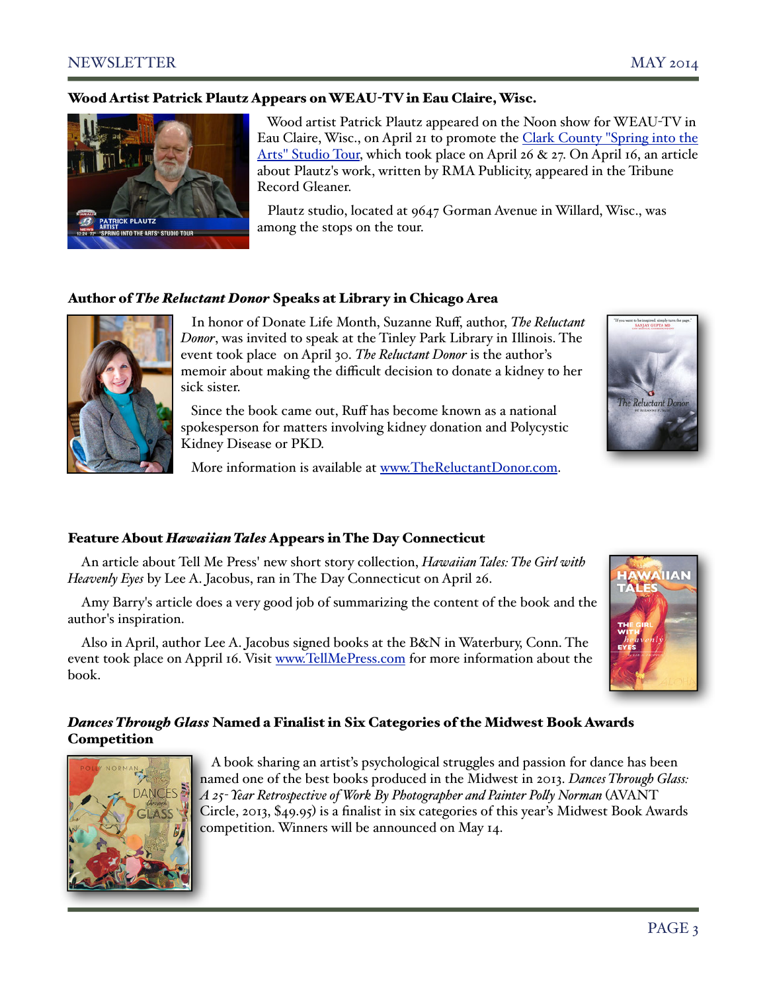### Wood Artist Patrick Plautz Appears on WEAU-TV in Eau Claire, Wisc.



 Wood artist Patrick Plautz appeared on the Noon show for WEAU-TV in Eau Claire, Wisc., on April 21 to promote the [Clark County "Spring into the](http://www.travelwisconsin.com/events/art-tours/clark-county-spring-into-the-arts-studio-tour-39297)  [Arts" Studio Tour,](http://www.travelwisconsin.com/events/art-tours/clark-county-spring-into-the-arts-studio-tour-39297) which took place on April 26 & 27. On April 16, an article about Plautz's work, written by RMA Publicity, appeared in the Tribune Record Gleaner.

 Plautz studio, located at 9647 Gorman Avenue in Willard, Wisc., was among the stops on the tour.

## Author of *The Reluctant Donor* Speaks at Library in Chicago Area



 In honor of Donate Life Month, Suzanne Ruff, author, *The Reluctant Donor*, was invited to speak at the Tinley Park Library in Illinois. The event took place on April 30. *The Reluctant Donor* is the author's memoir about making the difficult decision to donate a kidney to her sick sister.

 Since the book came out, Ruff has become known as a national spokesperson for matters involving kidney donation and Polycystic Kidney Disease or PKD.

More information is available at [www.TheReluctantDonor.com.](http://www.TheReluctantDonor.com)

# he Reluctant Do

### Feature About *Hawaiian Tales* Appears in The Day Connecticut

An article about Tell Me Press' new short story collection, *Hawaiian Tales: The Girl with Heavenly Eyes* by Lee A. Jacobus, ran in [The Day Connecticut o](http://www.theday.com/article/20140426/ENT03/304269987)n April 26.

Amy Barry's article does a very good job of summarizing the content of the book and the author's inspiration.

Also in April, author Lee A. Jacobus signed books at the B&N in Waterbury, Conn. The event took place on Appril 16. Visit [www.TellMePress.com](http://www.tellmepress.com/) for more information about the book.



# *Dances Through Glass* Named a Finalist in Six Categories of the Midwest Book Awards **Competition**



 A book sharing an artist's psychological struggles and passion for dance has been named one of the best books produced in the Midwest in 2013. *Dances Through Glass: A 25- Year Retrospective of Work By Photographer and Painter Po#y Norman* (AVANT Circle, 2013, \$49.95) is a finalist in six categories of this year's Midwest Book Awards competition. Winners will be announced on May 14.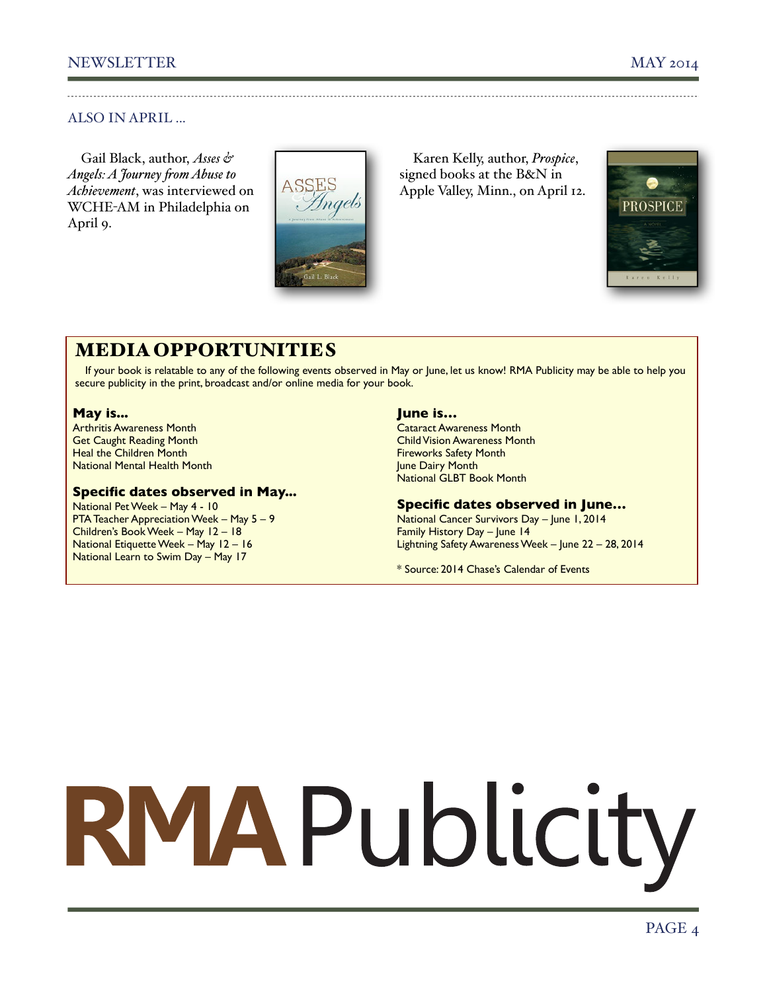# ALSO IN APRIL ...

Gail Black, author, *Asses & Angels: A Journey !om Abuse to Achievement*, was interviewed on WCHE-AM in Philadelphia on April 9.



Karen Kelly, author, *Prospice*, signed books at the B&N in Apple Valley, Minn., on April 12.



# MEDIA OPPORTUNITIES

If your book is relatable to any of the following events observed in May or June, let us know! RMA Publicity may be able to help you secure publicity in the print, broadcast and/or online media for your book.

### **May is...**

Arthritis Awareness Month Get Caught Reading Month Heal the Children Month National Mental Health Month

# **Specific dates observed in May...**

National Pet Week – May 4 - 10 PTA Teacher Appreciation Week – May 5 – 9 Children's Book Week – May 12 – 18 National Etiquette Week – May 12 – 16 National Learn to Swim Day – May 17

## **June is…**

Cataract Awareness Month Child Vision Awareness Month Fireworks Safety Month June Dairy Month National GLBT Book Month

# **Specific dates observed in June…**

National Cancer Survivors Day – June 1, 2014 Family History Day – June 14 Lightning Safety Awareness Week – June 22 – 28, 2014

\* Source: 2014 Chase's Calendar of Events

# RMAPublicity